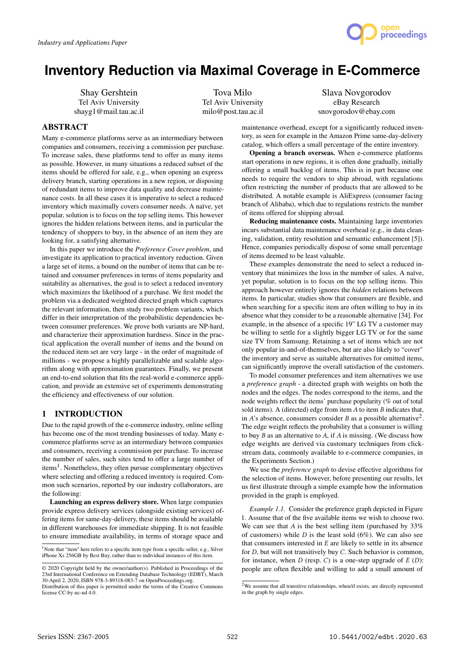

# **Inventory Reduction via Maximal Coverage in E-Commerce**

Shay Gershtein Tel Aviv University shayg1@mail.tau.ac.il

Tova Milo Tel Aviv University milo@post.tau.ac.il

Slava Novgorodov eBay Research snovgorodov@ebay.com

## ABSTRACT

Many e-commerce platforms serve as an intermediary between companies and consumers, receiving a commission per purchase. To increase sales, these platforms tend to offer as many items as possible. However, in many situations a reduced subset of the items should be offered for sale, e.g., when opening an express delivery branch, starting operations in a new region, or disposing of redundant items to improve data quality and decrease maintenance costs. In all these cases it is imperative to select a reduced inventory which maximally covers consumer needs. A naïve, yet popular, solution is to focus on the top selling items. This however ignores the hidden relations between items, and in particular the tendency of shoppers to buy, in the absence of an item they are looking for, a satisfying alternative.

In this paper we introduce the *Preference Cover problem*, and investigate its application to practical inventory reduction. Given a large set of items, a bound on the number of items that can be retained and consumer preferences in terms of items popularity and suitability as alternatives, the goal is to select a reduced inventory which maximizes the likelihood of a purchase. We first model the problem via a dedicated weighted directed graph which captures the relevant information, then study two problem variants, which differ in their interpretation of the probabilistic dependencies between consumer preferences. We prove both variants are NP-hard, and characterize their approximation hardness. Since in the practical application the overall number of items and the bound on the reduced item set are very large - in the order of magnitude of millions - we propose a highly parallelizable and scalable algorithm along with approximation guarantees. Finally, we present an end-to-end solution that fits the real-world e-commerce application, and provide an extensive set of experiments demonstrating the efficiency and effectiveness of our solution.

## 1 INTRODUCTION

Due to the rapid growth of the e-commerce industry, online selling has become one of the most trending businesses of today. Many ecommerce platforms serve as an intermediary between companies and consumers, receiving a commission per purchase. To increase the number of sales, such sites tend to offer a large number of items<sup>1</sup>. Nonetheless, they often pursue complementary objectives where selecting and offering a reduced inventory is required. Common such scenarios, reported by our industry collaborators, are the following:

Launching an express delivery store. When large companies provide express delivery services (alongside existing services) offering items for same-day-delivery, these items should be available in different warehouses for immediate shipping. It is not feasible to ensure immediate availability, in terms of storage space and

<sup>1</sup>Note that "item" here refers to a specific item type from a specific seller, e.g., Silver iPhone Xs 256GB by Best Buy, rather than to individual instances of this item.

maintenance overhead, except for a significantly reduced inventory, as seen for example in the Amazon Prime same-day-delivery catalog, which offers a small percentage of the entire inventory.

Opening a branch overseas. When e-commerce platforms start operations in new regions, it is often done gradually, initially offering a small backlog of items. This is in part because one needs to require the vendors to ship abroad, with regulations often restricting the number of products that are allowed to be distributed. A notable example is AliExpress (consumer facing branch of Alibaba), which due to regulations restricts the number of items offered for shipping abroad.

Reducing maintenance costs. Maintaining large inventories incurs substantial data maintenance overhead (e.g., in data cleaning, validation, entity resolution and semantic enhancement [5]). Hence, companies periodically dispose of some small percentage of items deemed to be least valuable.

These examples demonstrate the need to select a reduced inventory that minimizes the loss in the number of sales. A naïve, yet popular, solution is to focus on the top selling items. This approach however entirely ignores the *hidden* relations between items. In particular, studies show that consumers are flexible, and when searching for a specific item are often willing to buy in its absence what they consider to be a reasonable alternative [34]. For example, in the absence of a specific 19" LG TV a customer may be willing to settle for a slightly bigger LG TV or for the same size TV from Samsung. Retaining a set of items which are not only popular in-and-of-themselves, but are also likely to "cover" the inventory and serve as suitable alternatives for omitted items, can significantly improve the overall satisfaction of the customers.

To model consumer preferences and item alternatives we use a *preference graph* - a directed graph with weights on both the nodes and the edges. The nodes correspond to the items, and the node weights reflect the items' purchase popularity (% out of total sold items). A (directed) edge from item A to item B indicates that, in A's absence, consumers consider B as a possible alternative<sup>2</sup>.<br>The edge weight reflects the probability that a consumer is willing The edge weight reflects the probability that a consumer is willing to buy  $B$  as an alternative to  $A$ , if  $A$  is missing. (We discuss how edge weights are derived via customary techniques from clickstream data, commonly available to e-commerce companies, in the Experiments Section.)

We use the *preference graph* to devise effective algorithms for the selection of items. However, before presenting our results, let us first illustrate through a simple example how the information provided in the graph is employed.

*Example 1.1.* Consider the preference graph depicted in Figure 1. Assume that of the five available items we wish to choose two. We can see that  $A$  is the best selling item (purchased by  $33\%$ of customers) while  $D$  is the least sold (6%). We can also see that consumers interested in  $E$  are likely to settle in its absence for D, but will not transitively buy C. Such behavior is common, for instance, when  $D$  (resp. C) is a one-step upgrade of  $E(D)$ : people are often flexible and willing to add a small amount of

<sup>©</sup> 2020 Copyright held by the owner/author(s). Published in Proceedings of the 23rd International Conference on Extending Database Technology (EDBT), March 30-April 2, 2020, ISBN 978-3-89318-083-7 on OpenProceedings.org.

Distribution of this paper is permitted under the terms of the Creative Commons license CC-by-nc-nd 4.0.

 $2W$ e assume that all transitive relationships, when/if exists, are directly represented in the graph by single edges.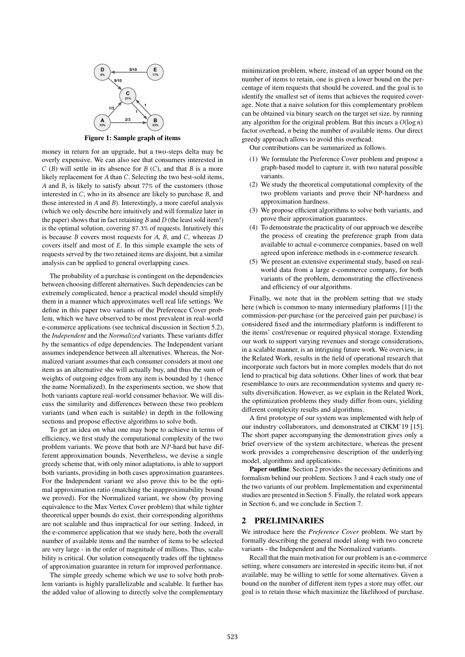

Figure 1: Sample graph of items

money in return for an upgrade, but a two-steps delta may be overly expensive. We can also see that consumers interested in  $C(B)$  will settle in its absence for  $B(C)$ , and that  $B$  is a more likely replacement for A than C. Selecting the two best-sold items, A and B, is likely to satisfy about 77% of the customers (those interested in C, who in its absence are likely to purchase B, and those interested in A and B). Interestingly, a more careful analysis (which we only describe here intuitively and will formalize later in the paper) shows that in fact retaining  $B$  and  $D$  (the least sold item!) is the optimal solution, covering <sup>87</sup>.3% of requests. Intuitively this is because  $B$  covers most requests for  $A$ ,  $B$ , and  $C$ , whereas  $D$ covers itself and most of E. In this simple example the sets of requests served by the two retained items are disjoint, but a similar analysis can be applied to general overlapping cases.

The probability of a purchase is contingent on the dependencies between choosing different alternatives. Such dependencies can be extremely complicated, hence a practical model should simplify them in a manner which approximates well real life settings. We define in this paper two variants of the Preference Cover problem, which we have observed to be most prevalent in real-world e-commerce applications (see technical discussion in Section 5.2), the *Independent* and the *Normalized* variants. These variants differ by the semantics of edge dependencies. The Independent variant assumes independence between all alternatives. Whereas, the Normalized variant assumes that each consumer considers at most one item as an alternative she will actually buy, and thus the sum of weights of outgoing edges from any item is bounded by 1 (hence the name Normalized). In the experiments section, we show that both variants capture real-world consumer behavior. We will discuss the similarity and differences between these two problem variants (and when each is suitable) in depth in the following sections and propose effective algorithms to solve both.

To get an idea on what one may hope to achieve in terms of efficiency, we first study the computational complexity of the two problem variants. We prove that both are  $NP$ -hard but have different approximation bounds. Nevertheless, we devise a single greedy scheme that, with only minor adaptations, is able to support both variants, providing in both cases approximation guarantees. For the Independent variant we also prove this to be the optimal approximation ratio (matching the inapproximability bound we proved). For the Normalized variant, we show (by proving equivalence to the Max Vertex Cover problem) that while tighter theoretical upper bounds do exist, their corresponding algorithms are not scalable and thus impractical for our setting. Indeed, in the e-commerce application that we study here, both the overall number of available items and the number of items to be selected are very large - in the order of magnitude of millions. Thus, scalability is critical. Our solution consequently trades off the tightness of approximation guarantee in return for improved performance.

The simple greedy scheme which we use to solve both problem variants is highly parallelizable and scalable. It further has the added value of allowing to directly solve the complementary minimization problem, where, instead of an upper bound on the number of items to retain, one is given a lower bound on the percentage of item requests that should be covered, and the goal is to identify the smallest set of items that achieves the required coverage. Note that a naive solution for this complementary problem can be obtained via binary search on the target set size, by running any algorithm for the original problem. But this incurs a  $O(\log n)$ factor overhead, n being the number of available items. Our direct greedy approach allows to avoid this overhead.

Our contributions can be summarized as follows.

- (1) We formulate the Preference Cover problem and propose a graph-based model to capture it, with two natural possible variants.
- (2) We study the theoretical computational complexity of the two problem variants and prove their NP-hardness and approximation hardness.
- (3) We propose efficient algorithms to solve both variants, and prove their approximation guarantees.
- (4) To demonstrate the practicality of our approach we describe the process of creating the preference graph from data available to actual e-commerce companies, based on well agreed upon inference methods in e-commerce research.
- (5) We present an extensive experimental study, based on realworld data from a large e-commerce company, for both variants of the problem, demonstrating the effectiveness and efficiency of our algorithms.

Finally, we note that in the problem setting that we study here (which is common to many intermediary platforms [1]) the commission-per-purchase (or the perceived gain per purchase) is considered fixed and the intermediary platform is indifferent to the items' cost/revenue or required physical storage. Extending our work to support varying revenues and storage considerations, in a scalable manner, is an intriguing future work. We overview, in the Related Work, results in the field of operational research that incorporate such factors but in more complex models that do not lend to practical big data solutions. Other lines of work that bear resemblance to ours are recommendation systems and query results diversification. However, as we explain in the Related Work, the optimization problems they study differ from ours, yielding different complexity results and algorithms.

A first prototype of our system was implemented with help of our industry collaborators, and demonstrated at CIKM'19 [15]. The short paper accompanying the demonstration gives only a brief overview of the system architecture, whereas the present work provides a comprehensive description of the underlying model, algorithms and applications.

Paper outline. Section 2 provides the necessary definitions and formalism behind our problem. Sections 3 and 4 each study one of the two variants of our problem. Implementation and experimental studies are presented in Section 5. Finally, the related work appears in Section 6, and we conclude in Section 7.

## 2 PRELIMINARIES

We introduce here the *Preference Cover* problem. We start by formally describing the general model along with two concrete variants - the Independent and the Normalized variants.

Recall that the main motivation for our problem is an e-commerce setting, where consumers are interested in specific items but, if not available, may be willing to settle for some alternatives. Given a bound on the number of different item types a store may offer, our goal is to retain those which maximize the likelihood of purchase.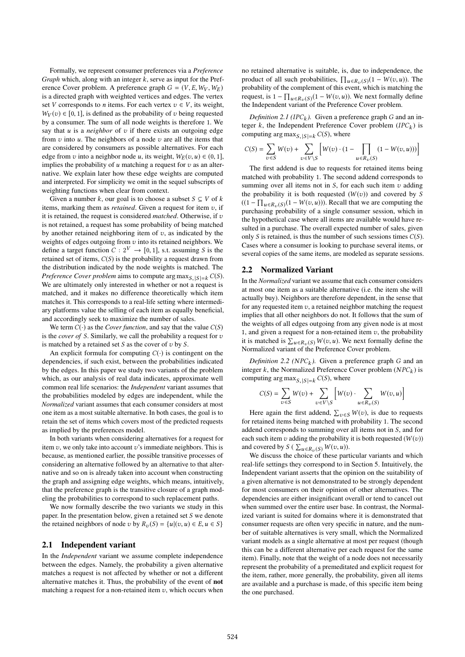Formally, we represent consumer preferences via a *Preference Graph* which, along with an integer k, serve as input for the Preference Cover problem. A preference graph  $G = (V, E, W_V, W_E)$ is a directed graph with weighted vertices and edges. The vertex set V corresponds to *n* items. For each vertex  $v \in V$ , its weight,  $W_V(v) \in [0, 1]$ , is defined as the probability of v being requested by a consumer. The sum of all node weights is therefore 1. We say that  $u$  is a *neighbor* of  $v$  if there exists an outgoing edge from  $v$  into  $u$ . The neighbors of a node  $v$  are all the items that are considered by consumers as possible alternatives. For each edge from v into a neighbor node u, its weight,  $W_E(v, u) \in (0, 1]$ , implies the probability of  $u$  matching a request for  $v$  as an alternative. We explain later how these edge weights are computed and interpreted. For simplicity we omit in the sequel subscripts of weighting functions when clear from context.

Given a number k, our goal is to choose a subset  $S \subseteq V$  of k items, marking them as *retained*. Given a request for item  $v$ , if it is retained, the request is considered *matched*. Otherwise, if v is not retained, a request has some probability of being matched by another retained neighboring item of  $v$ , as indicated by the weights of edges outgoing from  $v$  into its retained neighbors. We define a target function  $C: 2^V \rightarrow [0, 1]$ , s.t. assuming S is the retained set of items,  $C(S)$  is the probability a request drawn from the distribution indicated by the node weights is matched. The *Preference Cover problem* aims to compute arg  $\max_{S_1|S|=k} C(S)$ .<br>We are ultimately only interested in whether or not a request is We are ultimately only interested in whether or not a request is matched, and it makes no difference theoretically which item matches it. This corresponds to a real-life setting where intermediary platforms value the selling of each item as equally beneficial, and accordingly seek to maximize the number of sales.

We term  $C(\cdot)$  as the *Cover function*, and say that the value  $C(S)$ is the *cover of* S. Similarly, we call the probability a request for v is matched by a retained set  $S$  as the cover of  $v$  by  $S$ .

An explicit formula for computing  $C(\cdot)$  is contingent on the dependencies, if such exist, between the probabilities indicated by the edges. In this paper we study two variants of the problem which, as our analysis of real data indicates, approximate well common real life scenarios: the *Independent* variant assumes that the probabilities modeled by edges are independent, while the *Normalized* variant assumes that each consumer considers at most one item as a most suitable alternative. In both cases, the goal is to retain the set of items which covers most of the predicted requests as implied by the preferences model.

In both variants when considering alternatives for a request for item  $v$ , we only take into account  $v$ 's immediate neighbors. This is because, as mentioned earlier, the possible transitive processes of considering an alternative followed by an alternative to that alternative and so on is already taken into account when constructing the graph and assigning edge weights, which means, intuitively, that the preference graph is the transitive closure of a graph modeling the probabilities to correspond to such replacement paths.

We now formally describe the two variants we study in this paper. In the presentation below, given a retained set S we denote the retained neighbors of node v by  $R_v(S) = \{u | (v, u) \in E, u \in S\}$ 

#### 2.1 Independent variant

In the *Independent* variant we assume complete independence between the edges. Namely, the probability a given alternative matches a request is not affected by whether or not a different alternative matches it. Thus, the probability of the event of not matching a request for a non-retained item  $v$ , which occurs when no retained alternative is suitable, is, due to independence, the product of all such probabilities,  $\prod_{u \in R_v(S)} (1 - W(v, u))$ . The probability of the complement of this event which is matching the probability of the complement of this event, which is matching the request, is  $1 - \prod_{u \in R_v(S)} (1 - W(v, u))$ . We next formally define<br>the Independent variant of the Preference Cover problem the Independent variant of the Preference Cover problem.

*Definition 2.1 (IPC<sub>k</sub>).* Given a preference graph G and an in-<br>ter k, the Independent Preference Cover problem (IPC<sub>i</sub>) is teger k, the Independent Preference Cover problem  $(IPC_k)$  is<br>computing arg max  $_{\text{SUS}}$  is  $C(S)$  where computing arg max $_{S, |S|=k} C(S)$ , where

$$
C(S) = \sum_{v \in S} W(v) + \sum_{v \in V \setminus S} \left[ W(v) \cdot (1 - \prod_{u \in R_v(S)} (1 - W(v, u))) \right]
$$

The first addend is due to requests for retained items being matched with probability 1. The second addend corresponds to summing over all items not in  $S$ , for each such item  $v$  adding the probability it is both requested  $(W(v))$  and covered by S  $((1 - \prod_{u \in R_v(S)} (1 - W(v, u)))$ . Recall that we are computing the purchasing probability of a single consumer session, which in purchasing probability of a single consumer session, which in the hypothetical case where all items are available would have resulted in a purchase. The overall expected number of sales, given only S is retained, is thus the number of such sessions times  $C(S)$ . Cases where a consumer is looking to purchase several items, or several copies of the same items, are modeled as separate sessions.

## 2.2 Normalized Variant

In the *Normalized* variant we assume that each consumer considers at most one item as a suitable alternative (i.e. the item she will actually buy). Neighbors are therefore dependent, in the sense that for any requested item  $v$ , a retained neighbor matching the request implies that all other neighbors do not. It follows that the sum of the weights of all edges outgoing from any given node is at most 1, and given a request for a non-retained item  $v$ , the probability it is matched is  $\sum_{u \in R_v(S)} W(v, u)$ . We next formally define the<br>Normalized variant of the Preference Cover problem Normalized variant of the Preference Cover problem.

*Definition 2.2 (NPC<sub>k</sub>)*. Given a preference graph G and an  $\epsilon$  the Normalized Preference Cover problem (NPC<sub>t)</sub> is integer k, the Normalized Preference Cover problem  $(NPC_k)$  is<br>computing arg max  $\epsilon_{k+1}$  (CS) where computing arg max $_{S, |S|=k} C(S)$ , where

$$
C(S) = \sum_{v \in S} W(v) + \sum_{v \in V \setminus S} \left[ W(v) \cdot \sum_{u \in R_v(S)} W(v, u) \right]
$$

Here again the first addend,  $\sum_{v \in S} W(v)$ , is due to requests<br>tretained items being matched with probability 1. The second for retained items being matched with probability 1. The second addend corresponds to summing over all items not in S, and for each such item v adding the probability it is both requested  $(W(v))$ and covered by  $S \left( \sum_{u \in R_v(S)} W(v, u) \right)$ .<br>We discuss the choice of these part

We discuss the choice of these particular variants and which real-life settings they correspond to in Section 5. Intuitively, the Independent variant asserts that the opinion on the suitability of a given alternative is not demonstrated to be strongly dependent for most consumers on their opinion of other alternatives. The dependencies are either insignificant overall or tend to cancel out when summed over the entire user base. In contrast, the Normalized variant is suited for domains where it is demonstrated that consumer requests are often very specific in nature, and the number of suitable alternatives is very small, which the Normalized variant models as a single alternative at most per request (though this can be a different alternative per each request for the same item). Finally, note that the weight of a node does not necessarily represent the probability of a premeditated and explicit request for the item, rather, more generally, the probability, given all items are available and a purchase is made, of this specific item being the one purchased.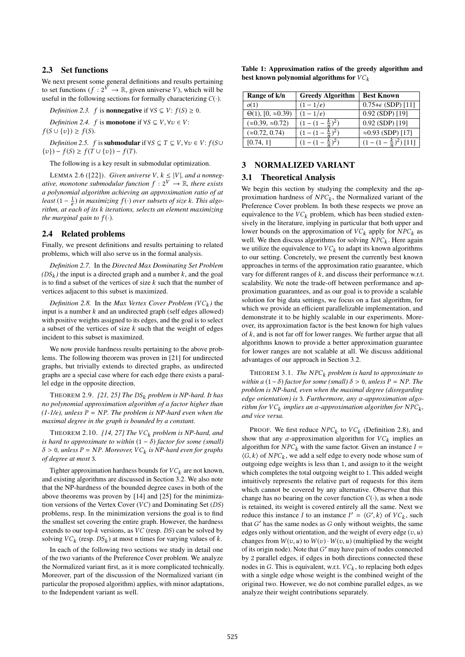## 2.3 Set functions

We next present some general definitions and results pertaining to set functions ( $f : 2^V \to \mathbb{R}$ , given universe V), which will be useful in the following sections for formally characterizing  $C(\cdot)$ .

*Definition 2.3.* f is **nonnegative** if  $\forall S \subseteq V$ :  $f(S) \ge 0$ .

*Definition 2.4.* f is **monotone** if  $\forall S \subseteq V, \forall v \in V$ :  $f(S \cup \{v\}) \geq f(S).$ 

*Definition 2.5.* f is **submodular** if  $\forall S \subseteq T \subseteq V, \forall v \in V$ :  $f(S \cup T)$  $\{v\}$ ) –  $f(S) \ge f(T \cup \{v\}) - f(T)$ .

The following is a key result in submodular optimization.

LEMMA 2.6 ([22]). *Given universe V*,  $k \leq |V|$ *, and a nonnegative, monotone submodular function*  $f : 2^V \rightarrow \mathbb{R}$ *, there exists a polynomial algorithm achieving an approximation ratio of at least*  $(1 - \frac{1}{e})$  *in maximizing*  $f(·)$  *over subsets of size* k*. This algo-*<br>*rithm, at each of its k iterations, selects an element maximizing* e *rithm, at each of its* k *iterations, selects an element maximizing the marginal gain to*  $f(\cdot)$ *.* 

## 2.4 Related problems

Finally, we present definitions and results pertaining to related problems, which will also serve us in the formal analysis.

*Definition 2.7.* In the *Directed Max Dominating Set Problem*  $(DS_k)$  the input is a directed graph and a number k, and the goal<br>is to find a subset of the vertices of size k such that the number of is to find a subset of the vertices of size  $k$  such that the number of vertices adjacent to this subset is maximized.

*Definition 2.8.* In the *Max Vertex Cover Problem*  $(VC_k)$  the but is a number k and an undirected graph (self-edges allowed) input is a number  $k$  and an undirected graph (self edges allowed) with positive weights assigned to its edges, and the goal is to select a subset of the vertices of size  $k$  such that the weight of edges incident to this subset is maximized.

We now provide hardness results pertaining to the above problems. The following theorem was proven in [21] for undirected graphs, but trivially extends to directed graphs, as undirected graphs are a special case where for each edge there exists a parallel edge in the opposite direction.

<sup>T</sup>HEOREM 2.9. *[21, 25] The* DSk *problem is NP-hard. It has no polynomial approximation algorithm of a factor higher than*  $(1-1/e)$ , unless  $P = NP$ . The problem is NP-hard even when the *maximal degree in the graph is bounded by a constant.*

THEOREM 2.10.  $[14, 27]$  The VC<sub>k</sub> problem is NP-hard, and *is hard to approximate to within*  $(1 - \delta)$  *factor for some (small)*  $\delta > 0$ , unless  $P = NP$ . Moreover,  $VC_k$  is NP-hard even for graphs<br>of degree at most 3 *of degree at most* 3*.*

Tighter approximation hardness bounds for  $VC_k$  are not known, and existing algorithms are discussed in Section 3.2. We also note that the NP-hardness of the bounded degree cases in both of the above theorems was proven by [14] and [25] for the minimization versions of the Vertex Cover (VC) and Dominating Set (DS) problems, resp. In the minimization versions the goal is to find the smallest set covering the entire graph. However, the hardness extends to our top-k versions, as VC (resp. DS) can be solved by solving  $VC_k$  (resp.  $DS_k$ ) at most *n* times for varying values of *k*.

In each of the following two sections we study in detail one of the two variants of the Preference Cover problem. We analyze the Normalized variant first, as it is more complicated technically. Moreover, part of the discussion of the Normalized variant (in particular the proposed algorithm) applies, with minor adaptations, to the Independent variant as well.

Table 1: Approximation ratios of the greedy algorithm and best known polynomial algorithms for  $VC_k$ 

| Range of k/n                   | <b>Greedy Algorithm</b> | <b>Best Known</b>          |
|--------------------------------|-------------------------|----------------------------|
| o(1)                           | $1 - 1/e$               | $0.75+\epsilon$ (SDP) [11] |
| $\Theta(1), [0, \infty 0.39)$  | $(1-1/e)$               | $0.92$ (SDP) [19]          |
| $(\approx 0.39, \approx 0.72)$ |                         | $0.92$ (SDP) [19]          |
| $(\approx 0.72, 0.74)$         |                         | $\approx 0.93$ (SDP) [17]  |
| [0.74, 1]                      |                         | $(\frac{k}{n})^2$ ) [11]   |
|                                |                         |                            |

## 3 NORMALIZED VARIANT

## 3.1 Theoretical Analysis

We begin this section by studying the complexity and the approximation hardness of  $NPC_k$ , the Normalized variant of the<br>Preference Cover problem. In both these respects we prove an Preference Cover problem. In both these respects we prove an equivalence to the  $VC_k$  problem, which has been studied extensively in the literature, implying in particular that both upper and lower bounds on the approximation of  $VC_k$  apply for  $NPC_k$  as well. We then discuss algorithms for solving  $NPC_k$ . Here again<br>we utilize the equivalence to  $VC_k$  to adapt its known algorithms we utilize the equivalence to  $VC_k$  to adapt its known algorithms<br>to our setting. Concretely, we present the currently best known to our setting. Concretely, we present the currently best known approaches in terms of the approximation ratio guarantee, which vary for different ranges of  $k$ , and discuss their performance w.r.t. scalability. We note the trade-off between performance and approximation guarantees, and as our goal is to provide a scalable solution for big data settings, we focus on a fast algorithm, for which we provide an efficient parallelizable implementation, and demonstrate it to be highly scalable in our experiments. Moreover, its approximation factor is the best known for high values of  $k$ , and is not far off for lower ranges. We further argue that all algorithms known to provide a better approximation guarantee for lower ranges are not scalable at all. We discuss additional advantages of our approach in Section 3.2.

THEOREM 3.1. *The*  $NPC_k$  *problem is hard to approximate to within a*  $(1 - \delta)$  *factor for some (small)*  $\delta > 0$ *, unless*  $P = NP$ *. The problem is NP-hard, even when the maximal degree (disregarding edge orientation) is* <sup>3</sup>*. Furthermore, any* α*-approximation algorithm for*  $VC_k$  *implies an*  $\alpha$ *-approximation algorithm for*  $NPC_k$ ,<br>*and vice versa and vice versa.*

**PROOF.** We first reduce  $NPC_k$  to  $VC_k$  (Definition 2.8), and we that any  $\alpha$ -annoximation algorithm for  $VC$ , implies an show that any  $\alpha$ -approximation algorithm for  $VC_k$  implies an algorithm for  $NPC_k$  with the same factor. Given an instance  $I$ algorithm for  $NPC_k$  with the same factor. Given an instance  $I =$  $\langle G, k \rangle$  of  $NPC_k$ , we add a self edge to every node whose sum of outgoing edge weights is less than 1 and assign to it the weight outgoing edge weights is less than 1, and assign to it the weight which completes the total outgoing weight to 1. This added weight intuitively represents the relative part of requests for this item which cannot be covered by any alternative. Observe that this change has no bearing on the cover function  $C(\cdot)$ , as when a node is retained, its weight is covered entirely all the same. Next we reduce this instance I to an instance  $I' = \langle G', k \rangle$  of  $VC<sub>k</sub>$ , such that  $G'$  has the same nodes as G only without weights the same that G' has the same nodes as G only without weights, the same<br>edges only without orientation, and the weight of every edge  $(z, y)$ edges only without orientation, and the weight of every edge  $(v, u)$ changes from  $W(v, u)$  to  $W(v) \cdot W(v, u)$  (multiplied by the weight of its origin node). Note that  $G'$  may have pairs of nodes connected<br>by 2 parallel edges if edges in both directions connected these by 2 parallel edges, if edges in both directions connected these nodes in G. This is equivalent, w.r.t.  $VC_k$ , to replacing both edges<br>with a single edge whose weight is the combined weight of the with a single edge whose weight is the combined weight of the original two. However, we do not combine parallel edges, as we analyze their weight contributions separately.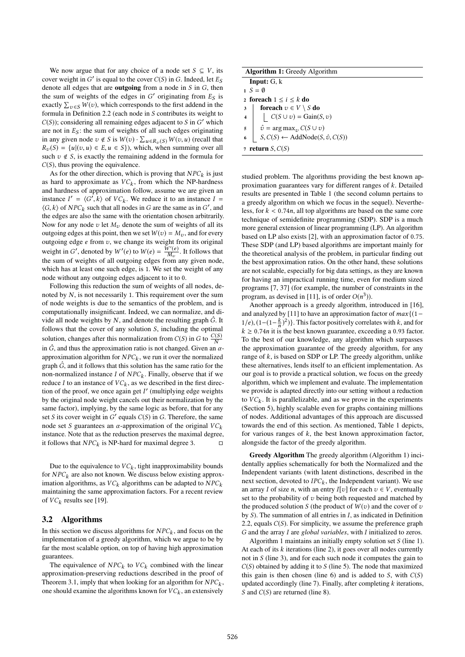We now argue that for any choice of a node set  $S \subseteq V$ , its cover weight in G' is equal to the cover  $C(S)$  in G. Indeed, let  $E_S$ <br>denote all edges that are **outgoing** from a node in S in G, then denote all edges that are **outgoing** from a node in  $S$  in  $G$ , then the sum of weights of the edges in G' originating from  $E_S$  is<br>exactly  $\Sigma = \delta M(n)$  which corresponds to the first addend in the exactly  $\sum_{v \in S} W(v)$ , which corresponds to the first addend in the formula in Definition 2.2 (each node in S contributes its weight to formula in Definition 2.2 (each node in S contributes its weight to  $C(S)$ ; considering all remaining edges adjacent to S in G' which<br>are not in  $F_S$ ; the sum of weights of all such edges originating are not in  $E<sub>S</sub>$ : the sum of weights of all such edges originating in any given node  $v \notin S$  is  $W(v) \cdot \sum_{u \in R_v(S)} W(v, u)$  (recall that  $R_v(S) = \{u | (v, u) \in F, u \in S\}$ ) which when summing over all  $R_v(S) = \{u | (v, u) \in E, u \in S\}$ , which, when summing over all such  $v \notin S$ , is exactly the remaining addend in the formula for  $C(S)$ , thus proving the equivalence.

As for the other direction, which is proving that  $NPC_k$  is just<br>hard to approximate as  $VC$ , from which the NP-hardness as hard to approximate as  $VC_k$ , from which the NP-hardness<br>and hardness of approximation follow assume we are given an and hardness of approximation follow, assume we are given an instance  $I' = \langle G', \overline{k} \rangle$  of  $VC_k$ . We reduce it to an instance  $I = \langle G, k \rangle$  of  $NPC$ , such that all nodes in G are the same as in  $G'$  and  $\langle G, k \rangle$  of  $NPC_k$  such that all nodes in G are the same as in G', and the edges are also the same with the orientation chosen arbitrarily the edges are also the same with the orientation chosen arbitrarily. Now for any node  $v$  let  $M_v$  denote the sum of weights of all its outgoing edges at this point, then we set  $W(v) = M_v$ , and for every outgoing edge  $e$  from  $v$ , we change its weight from its original weight in G', denoted by  $W'(e)$  to  $W(e) = \frac{\tilde{W}'(e)}{M_e}$ . It follows that the sum of weights of all outgoing edges from any given node, which has at least one such edge, is 1. We set the weight of any node without any outgoing edges adjacent to it to 0.

Following this reduction the sum of weights of all nodes, denoted by N, is not necessarily <sup>1</sup>. This requirement over the sum of node weights is due to the semantics of the problem, and is computationally insignificant. Indeed, we can normalize, and divide all node weights by  $N$ , and denote the resulting graph  $\hat{G}$ . It follows that the cover of any solution  $S$ , including the optimal solution, changes after this normalization from  $C(S)$  in G to  $\frac{C(S)}{N}$ in  $\hat{G}$ , and thus the approximation ratio is not changed. Given an  $\alpha$ -<br>approximation algorithm for NPC, we run it over the normalized approximation algorithm for  $NPC_k$ , we run it over the normalized<br>graph  $\hat{G}$  and it follows that this solution has the same ratio for the graph  $\hat{G}$ , and it follows that this solution has the same ratio for the non-normalized instance I of  $NPC_k$ . Finally, observe that if we<br>reduce I to an instance of  $VC_k$ , as we described in the first direcreduce I to an instance of  $VC_k$ , as we described in the first direction of the proof, we once again get I' (multiplying edge weights) tion of the proof, we once again get  $I'$  (multiplying edge weights by the original pode weight cancels out their pormalization by the by the original node weight cancels out their normalization by the same factor), implying, by the same logic as before, that for any set S its cover weight in  $G'$  equals  $C(S)$  in G. Therefore, the same node set S quarantees an  $\alpha$ -approximation of the original  $VC$ . node set S guarantees an  $\alpha$ -approximation of the original  $VC_k$ instance. Note that as the reduction preserves the maximal degree, it follows that  $NPC_k$  is NP-hard for maximal degree 3.  $\Box$ 

Due to the equivalence to  $VC_k$ , tight inapproximability bounds<br> $NPC_k$  are also not known. We discuss below existing approxifor  $NPC_k$  are also not known. We discuss below existing approximation algorithms, as  $VC_k$  algorithms can be adapted to  $NPC_k$ maintaining the same approximation factors. For a recent review of  $VC_k$  results see [19].

## 3.2 Algorithms

In this section we discuss algorithms for  $NPC_k$ , and focus on the implementation of a greedy algorithm which we argue to be by implementation of a greedy algorithm, which we argue to be by far the most scalable option, on top of having high approximation guarantees.

The equivalence of  $NPC_k$  to  $VC_k$  combined with the linear<br>proximation-preserving reductions described in the proof of approximation-preserving reductions described in the proof of Theorem 3.1, imply that when looking for an algorithm for  $NPC_k$ ,<br>one should examine the algorithms known for  $VC_k$ , an extensively one should examine the algorithms known for  $VC_k$ , an extensively

| <b>Algorithm 1:</b> Greedy Algorithm |                                                  |  |  |  |
|--------------------------------------|--------------------------------------------------|--|--|--|
|                                      | <b>Input:</b> $G$ , $k$                          |  |  |  |
|                                      | $S = \emptyset$                                  |  |  |  |
| 2 foreach $1 \leq i \leq k$ do       |                                                  |  |  |  |
| 3                                    | <b>for<br/>each</b> $v \in V \setminus S$ do     |  |  |  |
| $\overline{4}$                       | $C(S \cup v) = \text{Gain}(S, v)$                |  |  |  |
| 5                                    | $\hat{v}$ = arg max <sub>z</sub> , $C(S \cup v)$ |  |  |  |
| 6                                    | $S, C(S) \leftarrow AddNode(S, \hat{v}, C(S))$   |  |  |  |
|                                      | 7 return $S, C(S)$                               |  |  |  |

studied problem. The algorithms providing the best known approximation guarantees vary for different ranges of k. Detailed results are presented in Table 1 (the second column pertains to a greedy algorithm on which we focus in the sequel). Nevertheless, for  $k < 0.74n$ , all top algorithms are based on the same core technique of semidefinite programming (SDP). SDP is a much more general extension of linear programming (LP). An algorithm based on LP also exists [2], with an approximation factor of <sup>0</sup>.75. These SDP (and LP) based algorithms are important mainly for the theoretical analysis of the problem, in particular finding out the best approximation ratios. On the other hand, these solutions are not scalable, especially for big data settings, as they are known for having an impractical running time, even for medium sized programs [7, 37] (for example, the number of constraints in the program, as devised in [11], is of order  $O(n^3)$ ).<br>Another approach is a greedy algorithm

Another approach is a greedy algorithm, introduced in [16], and analyzed by [11] to have an approximation factor of  $max{$ {(1 -1/e),  $(1-(1-\frac{k}{n})^2)$ . This factor positively correlates with k, and for  $k > 0.74n$  it is the best known quarantee, exceeding a 0.03 factor  $k \geq 0.74n$  it is the best known guarantee, exceeding a 0.93 factor.<br>To the best of our knowledge, any algorithm which surpasses To the best of our knowledge, any algorithm which surpasses the approximation guarantee of the greedy algorithm, for any range of  $k$ , is based on SDP or LP. The greedy algorithm, unlike these alternatives, lends itself to an efficient implementation. As our goal is to provide a practical solution, we focus on the greedy algorithm, which we implement and evaluate. The implementation we provide is adapted directly into our setting without a reduction to  $VC_k$ . It is parallelizable, and as we prove in the experiments<br>(Section 5), bighly scalable even for graphs containing millions (Section 5), highly scalable even for graphs containing millions of nodes. Additional advantages of this approach are discussed towards the end of this section. As mentioned, Table 1 depicts, for various ranges of  $k$ , the best known approximation factor, alongside the factor of the greedy algorithm.

Greedy Algorithm The greedy algorithm (Algorithm 1) incidentally applies schematically for both the Normalized and the Independent variants (with latent distinctions, described in the next section, devoted to  $IPC_k$ , the Independent variant). We use<br>an array Lof size n, with an entry  $I[x]$  for each  $x \in V$  eventually an array I of size n, with an entry I[v] for each  $v \in V$ , eventually set to the probability of  $v$  being both requested and matched by the produced solution S (the product of  $W(v)$  and the cover of v by S). The summation of all entries in I, as indicated in Definition 2.2, equals  $C(S)$ . For simplicity, we assume the preference graph G and the array I are *global variables*, with I initialized to zeros.

Algorithm 1 maintains an initially empty solution set S (line 1). At each of its  $k$  iterations (line 2), it goes over all nodes currently not in  $S$  (line 3), and for each such node it computes the gain to  $C(S)$  obtained by adding it to S (line 5). The node that maximized this gain is then chosen (line  $6$ ) and is added to S, with  $C(S)$ updated accordingly (line 7). Finally, after completing  $k$  iterations, S and  $C(S)$  are returned (line 8).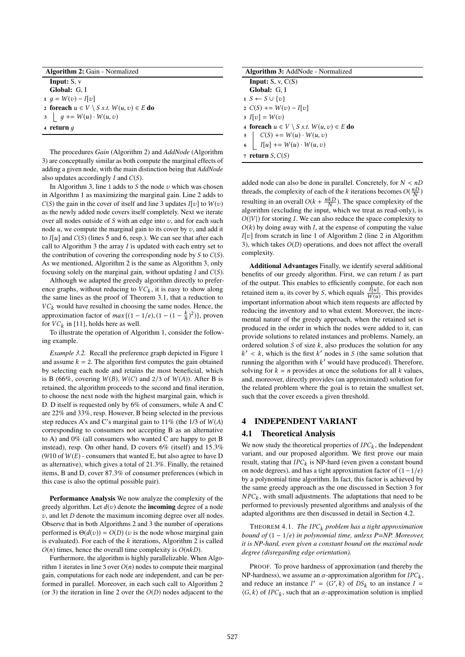| <b>Algorithm 2: Gain - Normalized</b>                          |  |  |
|----------------------------------------------------------------|--|--|
| <b>Input:</b> $S, v$                                           |  |  |
| Global: G.I.                                                   |  |  |
| 1 $q = W(v) - I[v]$                                            |  |  |
| 2 foreach $u \in V \setminus S$ <i>s.t.</i> $W(u, v) \in E$ do |  |  |
| 3 $\Big  g \Big  + \Big  W(u) \cdot W(u, v)$                   |  |  |
| 4 return $q$                                                   |  |  |
|                                                                |  |  |

The procedures *Gain* (Algorithm 2) and *AddNode* (Algorithm 3) are conceptually similar as both compute the marginal effects of adding a given node, with the main distinction being that *AddNode* also updates accordingly  $I$  and  $C(S)$ .

In Algorithm 3, line 1 adds to  $S$  the node  $v$  which was chosen in Algorithm 1 as maximizing the marginal gain. Line 2 adds to  $C(S)$  the gain in the cover of itself and line 3 updates  $I[v]$  to  $W(v)$ as the newly added node covers itself completely. Next we iterate over all nodes outside of  $S$  with an edge into  $v$ , and for each such node  $u$ , we compute the marginal gain to its cover by  $v$ , and add it to  $I[u]$  and  $C(S)$  (lines 5 and 6, resp.). We can see that after each call to Algorithm 3 the array  $I$  is updated with each entry set to the contribution of covering the corresponding node by  $S$  to  $C(S)$ . As we mentioned, Algorithm 2 is the same as Algorithm 3, only focusing solely on the marginal gain, without updating  $I$  and  $C(S)$ .

Although we adapted the greedy algorithm directly to preference graphs, without reducing to  $VC_k$ , it is easy to show along<br>the same lines as the proof of Theorem 3.1, that a reduction to the same lines as the proof of Theorem 3.1, that a reduction to  $VC_k$  would have resulted in choosing the same nodes. Hence, the approximation factor of  $max\{(1-1/e), (1-(1-\frac{k}{n})^2)\}\)$ , proven<br>for *VC*: in [11] holds here as well for  $VC_k$  in [11], holds here as well.<br>To illustrate the operation of Alg

To illustrate the operation of Algorithm 1, consider the following example.

*Example 3.2.* Recall the preference graph depicted in Figure 1 and assume  $k = 2$ . The algorithm first computes the gain obtained by selecting each node and retains the most beneficial, which is B (66%, covering  $W(B)$ ,  $W(C)$  and 2/3 of  $W(A)$ ). After B is retained, the algorithm proceeds to the second and final iteration, to choose the next node with the highest marginal gain, which is D. D itself is requested only by 6% of consumers, while A and C are 22% and 33%, resp. However, B being selected in the previous step reduces A's and C's marginal gain to  $11\%$  (the 1/3 of  $W(A)$ ) corresponding to consumers not accepting B as an alternative to A) and 0% (all consumers who wanted C are happy to get B instead), resp. On other hand, D covers 6% (itself) and 15.3% (9/10 of  $W(E)$  - consumers that wanted E, but also agree to have D as alternative), which gives a total of 21.3%. Finally, the retained items, B and D, cover 87.3% of consumer preferences (which in this case is also the optimal possible pair).

Performance Analysis We now analyze the complexity of the greedy algorithm. Let  $d(v)$  denote the **incoming** degree of a node  $v$ , and let  $D$  denote the maximum incoming degree over all nodes. Observe that in both Algorithms 2 and 3 the number of operations performed is  $\Theta(d(v)) = O(D)$  (*v* is the node whose marginal gain is evaluated). For each of the  $k$  iterations, Algorithm 2 is called  $O(n)$  times, hence the overall time complexity is  $O(nkD)$ .

Furthermore, the algorithm is highly parallelizable. When Algorithm 1 iterates in line 3 over  $O(n)$  nodes to compute their marginal gain, computations for each node are independent, and can be performed in parallel. Moreover, in each such call to Algorithm 2 (or 3) the iteration in line 2 over the  $O(D)$  nodes adjacent to the

| <b>Algorithm 3: AddNode - Normalized</b>                             |  |  |
|----------------------------------------------------------------------|--|--|
| <b>Input:</b> $S$ , $v$ , $C(S)$                                     |  |  |
| Global: G.I                                                          |  |  |
| $1 S \leftarrow S \cup \{v\}$                                        |  |  |
| 2 $C(S)$ += $W(v) - I[v]$                                            |  |  |
| 3 $I[v] = W(v)$                                                      |  |  |
| 4 foreach $u \in V \setminus S$ <i>s.t.</i> $W(u, v) \in E$ do       |  |  |
|                                                                      |  |  |
| 5 $C(S)$ += $W(u) \cdot W(u, v)$<br>6 $I[u]$ += $W(u) \cdot W(u, v)$ |  |  |
| 7 return $S, C(S)$                                                   |  |  |

added node can also be done in parallel. Concretely, for  $N < nD$ threads, the complexity of each of the k iterations becomes  $O(\frac{nD}{N})$ resulting in an overall  $O(k + \frac{n kD}{N})$ . The space complexity of the algorithm (excluding the input which we treat as read only) is algorithm (excluding the input, which we treat as read-only), is  $O(|V|)$  for storing I. We can also reduce the space complexity to  $O(k)$  by doing away with I, at the expense of computing the value  $I[v]$  from scratch in line 1 of Algorithm 2 (line 2 in Algorithm 3), which takes O(D) operations, and does not affect the overall complexity.

Additional Advantages Finally, we identify several additional benefits of our greedy algorithm. First, we can return I as part of the output. This enables to efficiently compute, for each non retained item u, its cover by S, which equals  $\frac{I[u]}{W(u)}$ . This provides<br>important information about which item request are affected by important information about which item requests are affected by important information about which item requests are affected by reducing the inventory and to what extent. Moreover, the incremental nature of the greedy approach, when the retained set is produced in the order in which the nodes were added to it, can provide solutions to related instances and problems. Namely, an ordered solution  $S$  of size  $k$ , also produces the solution for any running the algorithm with  $k'$  would have produced). Therefore, solving for  $k - n$  provides at once the solutions for all  $k$  values  $\ell' < k$ , which is the first k' nodes in S (the same solution that unit is also if we reduced). Therefore solving for  $k = n$  provides at once the solutions for all k values, and, moreover, directly provides (an approximated) solution for the related problem where the goal is to retain the smallest set, such that the cover exceeds a given threshold.

## 4 INDEPENDENT VARIANT

#### 4.1 Theoretical Analysis

We now study the theoretical properties of  $IPC_k$ , the Independent<br>variant and our proposed algorithm. We first prove our main variant, and our proposed algorithm. We first prove our main result, stating that  $IPC_k$  is NP-hard (even given a constant bound<br>on node degrees) and has a tight approximation factor of  $(1-1/e)$ on node degrees), and has a tight approximation factor of  $(1-1/e)$ by a polynomial time algorithm. In fact, this factor is achieved by the same greedy approach as the one discussed in Section 3 for  $P(X)$  between the performed to previously presented algorithms and analysis of the  $NPC<sub>k</sub>$ , with small adjustments. The adaptations that need to be adapted algorithms are then discussed in detail in Section 4.2.

THEOREM 4.1. *The* IPC<sub>k</sub> problem has a tight approximation *bound of* (<sup>1</sup> <sup>−</sup> <sup>1</sup>/e) *in polynomial time, unless P=NP. Moreover, it is NP-hard, even given a constant bound on the maximal node degree (disregarding edge orientation).*

PROOF. To prove hardness of approximation (and thereby the NP-hardness), we assume an  $\alpha$ -approximation algorithm for  $IPC_k$ ,<br>and reduce an instance  $I' = (G' \; k)$  of DS, to an instance  $I =$ and reduce an instance  $I' = \langle G', k \rangle$  of  $DS_k$  to an instance  $I = \langle G, k \rangle$  of  $IPC$ , such that an  $\alpha$ -approximation solution is implied  $\langle G, k \rangle$  of *IPC<sub>k</sub>*, such that an  $\alpha$ -approximation solution is implied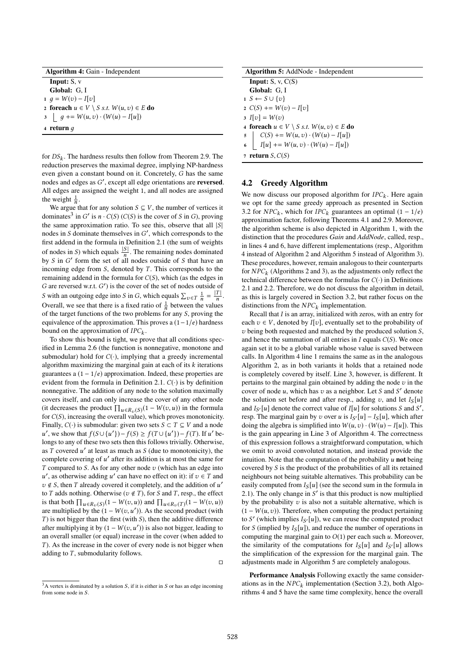| <b>Algorithm 4: Gain - Independent</b>                  |  |  |
|---------------------------------------------------------|--|--|
| <b>Input:</b> $S, v$                                    |  |  |
| Global: G.I                                             |  |  |
| 1 $q = W(v) - I[v]$                                     |  |  |
| 2 foreach $u \in V \setminus S$ s.t. $W(u, v) \in E$ do |  |  |
| 3 $g \div W(u, v) \cdot (W(u) - I[u])$                  |  |  |
| 4 return $q$                                            |  |  |

for  $DS_k$ . The hardness results then follow from Theorem 2.9. The reduction preserves the maximal degree implying NP-hardness reduction preserves the maximal degree, implying NP-hardness even given a constant bound on it. Concretely, G has the same nodes and edges as  $G'$ , except all edge orientations are **reversed**.<br>All edges are assigned the weight 1 and all nodes are assigned All edges are assigned the weight 1, and all nodes are assigned the weight  $\frac{1}{n}$ .

We argue that for any solution  $S \subseteq V$ , the number of vertices it<br>minates<sup>3</sup> in  $G'$  is n.  $C(S)$   $(C(S)$  is the cover of S in G), proving dominates<sup>3</sup> in G' is  $n \cdot C(S)$  (C(S) is the cover of S in G), proving<br>the same approximation ratio. To see this, observe that all [S] the same approximation ratio. To see this, observe that all  $|S|$ nodes in S dominate themselves in G', which corresponds to the first addend in the formula in Definition 2.1 (the sum of weights first addend in the formula in Definition 2.1 (the sum of weights of nodes in S) which equals  $\frac{|S|}{n}$ . The remaining nodes dominated<br>by S in G' form the set of all nodes outside of S that have an by S in G' form the set of all nodes outside of S that have an incoming edge from S, denoted by T. This corresponds to the incoming edge from  $S$ , denoted by  $T$ . This corresponds to the remaining addend in the formula for  $C(S)$ , which (as the edges in G are reversed w.r.t. G') is the cover of the set of nodes outside of<br>S with an outselve odes into S in G which squals  $\sum_{n=1}^{\infty} \frac{1}{|x|}$ S with an outgoing edge into S in G, which equals  $\sum_{v \in T} \frac{1}{n} = \frac{|T|}{n}$ . S with an outgoing edge into S in G, which equals  $\sum_{v \in T} \frac{1}{n} = \frac{1}{n}$ <br>Overall, we see that there is a fixed ratio of  $\frac{1}{n}$  between the values of the target functions of the two problems for any S, proving the equivalence of the approximation. This proves a  $(1-1/e)$  hardness equivalence of the approximation. This proves a  $(1-1/e)$  hardness bound on the approximation of  $IPC_k$ .<br>To show this bound is tight, we pro-

To show this bound is tight, we prove that all conditions specified in Lemma 2.6 (the function is nonnegative, monotone and submodular) hold for  $C(\cdot)$ , implying that a greedy incremental algorithm maximizing the marginal gain at each of its  $k$  iterations guarantees a  $(1 - 1/e)$  approximation. Indeed, these properties are evident from the formula in Definition 2.1.  $C(\cdot)$  is by definition nonnegative. The addition of any node to the solution maximally covers itself, and can only increase the cover of any other node (it decreases the product  $\prod_{u \in R_v(S)} (1 - W(v, u))$  in the formula<br>for  $C(S)$  increasing the overall value) which proves monotonicity for  $C(S)$ , increasing the overall value), which proves monotonicity. Finally,  $C(\cdot)$  is submodular: given two sets  $S \subset T \subseteq V$  and a node longs to any of these two sets then this follows trivially. Otherwise, ', we show that  $f(S \cup \{u'\}) - f(S) \ge f(T \cup \{u'\}) - f(T)$ . If u' be-<br>pags to any of these two sets then this follows trivially Otherwise as T covered  $u'$  at least as much as S (due to monotonicity), the complete covering of  $u'$  after its addition is at most the same for complete covering of  $u'$  after its addition is at most the same for  $T$  compared to  $S$ . As for any other node  $v$  (which has an edge into T compared to S. As for any other node  $v$  (which has an edge into  $v \notin S$ , then T already covered it completely, and the addition of u'<br>to T adds pothing. Otherwise ( $v \notin T$ ) for S and T resp. the effect *'*, as otherwise adding u' can have no effect on it): if  $v \in T$  and  $dS$  then  $T$  already covered it completely and the addition of u' to T adds nothing. Otherwise ( $v \notin T$ ), for S and T, resp., the effect is that both  $\prod_{u \in R_v(S)} (1 - W(v, u))$  and  $\prod_{u \in R_v(T)} (1 - W(v, u))$ <br>are multiplied by the  $(1 - W(v, u'))$  As the second product (with are multiplied by the  $(1 - W(v, u'))$ . As the second product (with T) is not binger than the first (with S) then the additive difference  $T$ ) is not bigger than the first (with  $S$ ), then the additive difference after multiplying it by  $(1 - W(v, u'))$  is also not bigger, leading to an overall smaller (or equal) increase in the cover (when added to an overall smaller (or equal) increase in the cover (when added to  $T$ ). As the increase in the cover of every node is not bigger when adding to  $T$ , submodularity follows.

| <b>Algorithm 5:</b> AddNode - Independent                                              |  |  |
|----------------------------------------------------------------------------------------|--|--|
| <b>Input:</b> $S$ , $v$ , $C(S)$                                                       |  |  |
| Global: G.I                                                                            |  |  |
| $1 S \leftarrow S \cup \{v\}$                                                          |  |  |
| 2 $C(S)$ += $W(v) - I[v]$                                                              |  |  |
| 3 $I[v] = W(v)$                                                                        |  |  |
| 4 foreach $u \in V \setminus S$ <i>s.t.</i> $W(u, v) \in E$ do                         |  |  |
|                                                                                        |  |  |
| 5 $C(S)$ += $W(u, v) \cdot (W(u) - I[u])$<br>6 $I[u]$ += $W(u, v) \cdot (W(u) - I[u])$ |  |  |
| $\tau$ return S. $C(S)$                                                                |  |  |

## 4.2 Greedy Algorithm

We now discuss our proposed algorithm for  $IPC_k$ . Here again<br>we ont for the same greedy approach as presented in Section we opt for the same greedy approach as presented in Section 3.2 for  $NPC_k$ , which for  $IPC_k$  guarantees an optimal  $(1 - 1/e)$ <br>approximation factor following Theorems 4.1 and 2.9. Moreover approximation factor, following Theorems 4.1 and 2.9. Moreover, the algorithm scheme is also depicted in Algorithm 1, with the distinction that the procedures *Gain* and *AddNode*, called, resp., in lines 4 and 6, have different implementations (resp., Algorithm 4 instead of Algorithm 2 and Algorithm 5 instead of Algorithm 3). These procedures, however, remain analogous to their counterparts for  $NPC_k$  (Algorithms 2 and 3), as the adjustments only reflect the technical difference between the formulas for  $C(.)$  in Definitions technical difference between the formulas for  $C(\cdot)$  in Definitions 2.1 and 2.2. Therefore, we do not discuss the algorithm in detail, as this is largely covered in Section 3.2, but rather focus on the distinctions from the  $NPC_k$  implementation.<br>Recall that L is an array initialized with zero.

Recall that I is an array, initialized with zeros, with an entry for each  $v \in V$ , denoted by I[v], eventually set to the probability of  $v$  being both requested and matched by the produced solution  $S$ , and hence the summation of all entries in  $I$  equals  $C(S)$ . We once again set it to be a global variable whose value is saved between calls. In Algorithm 4 line 1 remains the same as in the analogous Algorithm 2, as in both variants it holds that a retained node is completely covered by itself. Line 3, however, is different. It pertains to the marginal gain obtained by adding the node  $v$  in the cover of node u, which has v as a neighbor. Let S and S' denote<br>the solution set before and after resp. adding v, and let  $L_2[u]$ the solution set before and after resp., adding v, and let  $I_{S}[u]$ and  $I_{S'}[u]$  denote the correct value of  $I[u]$  for solutions S and  $S'$ ,<br>resp. The marginal gain by z) over u is  $I_{S}[u] = I_{S}[u]$ , which after resp. The marginal gain by v over u is  $I_{S'}[u] - I_S[u]$ , which after<br>doing the algebra is simplified into  $W(u,v)$ ,  $(W(u) - I[u])$ . This doing the algebra is simplified into  $W(u, v) \cdot (W(u) - I[u])$ . This is the gain appearing in Line 3 of Algorithm 4. The correctness of this expression follows a straightforward computation, which we omit to avoid convoluted notation, and instead provide the intuition. Note that the computation of the probability  $u$  not being covered by S is the product of the probabilities of all its retained neighbours not being suitable alternatives. This probability can be easily computed from  $I_{\rm S}[u]$  (see the second sum in the formula in 2.1). The only change in  $S'$  is that this product is now multiplied<br>by the probability z is also not a suitable alternative, which is by the probability  $v$  is also not a suitable alternative, which is  $(1 - W(u, v))$ . Therefore, when computing the product pertaining to S' (which implies  $I_{S'}[u]$ ), we can reuse the computed product for S (implied by  $I_{S}[u]$ ), and reduce the number of operations in for S (implied by  $I_{\mathcal{S}}[u]$ ), and reduce the number of operations in computing the marginal gain to  $O(1)$  per each such u. Moreover, the similarity of the computations for  $I_S[u]$  and  $I_{S'}[u]$  allows<br>the simplification of the expression for the marginal gain. The the simplification of the expression for the marginal gain. The adjustments made in Algorithm 5 are completely analogous.

Performance Analysis Following exactly the same considerations as in the  $NPC_k$  implementation (Section 3.2), both Algo-<br>rithms 4 and 5 have the same time complexity hence the overall rithms 4 and 5 have the same time complexity, hence the overall

 $\Box$ 

 $3A$  vertex is dominated by a solution S, if it is either in S or has an edge incoming from some node in S.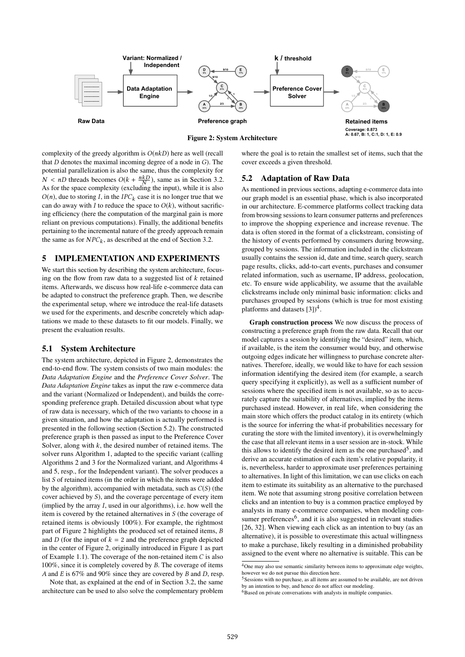

Figure 2: System Architecture

complexity of the greedy algorithm is  $O(nkD)$  here as well (recall that  $D$  denotes the maximal incoming degree of a node in  $G$ ). The potential parallelization is also the same, thus the complexity for  $N < nD$  threads becomes  $O(k + \frac{nkD}{N})$ , same as in Section 3.2.<br>As for the space complexity (excluding the input) while it is also N As for the space complexity (excluding the input), while it is also  $O(n)$ , due to storing I, in the IPC<sub>k</sub> case it is no longer true that we can do away with I to reduce the space to  $O(k)$ , without sacrificing efficiency (here the computation of the marginal gain is more reliant on previous computations). Finally, the additional benefits pertaining to the incremental nature of the greedy approach remain the same as for  $NPC_k$ , as described at the end of Section 3.2.

## 5 IMPLEMENTATION AND EXPERIMENTS

We start this section by describing the system architecture, focusing on the flow from raw data to a suggested list of  $k$  retained items. Afterwards, we discuss how real-life e-commerce data can be adapted to construct the preference graph. Then, we describe the experimental setup, where we introduce the real-life datasets we used for the experiments, and describe concretely which adaptations we made to these datasets to fit our models. Finally, we present the evaluation results.

## 5.1 System Architecture

The system architecture, depicted in Figure 2, demonstrates the end-to-end flow. The system consists of two main modules: the *Data Adaptation Engine* and the *Preference Cover Solver*. The *Data Adaptation Engine* takes as input the raw e-commerce data and the variant (Normalized or Independent), and builds the corresponding preference graph. Detailed discussion about what type of raw data is necessary, which of the two variants to choose in a given situation, and how the adaptation is actually performed is presented in the following section (Section 5.2). The constructed preference graph is then passed as input to the Preference Cover Solver, along with  $k$ , the desired number of retained items. The solver runs Algorithm 1, adapted to the specific variant (calling Algorithms 2 and 3 for the Normalized variant, and Algorithms 4 and 5, resp., for the Independent variant). The solver produces a list S of retained items (in the order in which the items were added by the algorithm), accompanied with metadata, such as  $C(S)$  (the cover achieved by S), and the coverage percentage of every item (implied by the array I, used in our algorithms), i.e. how well the item is covered by the retained alternatives in S (the coverage of retained items is obviously 100%). For example, the rightmost part of Figure 2 highlights the produced set of retained items, B and D (for the input of  $k = 2$  and the preference graph depicted in the center of Figure 2, originally introduced in Figure 1 as part of Example 1.1). The coverage of the non-retained item  $C$  is also 100%, since it is completely covered by B. The coverage of items A and E is 67% and 90% since they are covered by B and D, resp.

Note that, as explained at the end of in Section 3.2, the same architecture can be used to also solve the complementary problem where the goal is to retain the smallest set of items, such that the cover exceeds a given threshold.

## 5.2 Adaptation of Raw Data

As mentioned in previous sections, adapting e-commerce data into our graph model is an essential phase, which is also incorporated in our architecture. E-commerce platforms collect tracking data from browsing sessions to learn consumer patterns and preferences to improve the shopping experience and increase revenue. The data is often stored in the format of a clickstream, consisting of the history of events performed by consumers during browsing, grouped by sessions. The information included in the clickstream usually contains the session id, date and time, search query, search page results, clicks, add-to-cart events, purchases and consumer related information, such as username, IP address, geolocation, etc. To ensure wide applicability, we assume that the available clickstreams include only minimal basic information: clicks and purchases grouped by sessions (which is true for most existing platforms and datasets  $[3]$ <sup>4</sup>.

Graph construction process We now discuss the process of constructing a preference graph from the raw data. Recall that our model captures a session by identifying the "desired" item, which, if available, is the item the consumer would buy, and otherwise outgoing edges indicate her willingness to purchase concrete alternatives. Therefore, ideally, we would like to have for each session information identifying the desired item (for example, a search query specifying it explicitly), as well as a sufficient number of sessions where the specified item is not available, so as to accurately capture the suitability of alternatives, implied by the items purchased instead. However, in real life, when considering the main store which offers the product catalog in its entirety (which is the source for inferring the what-if probabilities necessary for curating the store with the limited inventory), it is overwhelmingly the case that all relevant items in a user session are in-stock. While this allows to identify the desired item as the one purchased<sup>5</sup>, and derive an accurate estimation of each item's relative popularity, it is, nevertheless, harder to approximate user preferences pertaining to alternatives. In light of this limitation, we can use clicks on each item to estimate its suitability as an alternative to the purchased item. We note that assuming strong positive correlation between clicks and an intention to buy is a common practice employed by analysts in many e-commerce companies, when modeling consumer preferences<sup>6</sup>, and it is also suggested in relevant studies [26, 32]. When viewing each click as an intention to buy (as an alternative), it is possible to overestimate this actual willingness to make a purchase, likely resulting in a diminished probability assigned to the event where no alternative is suitable. This can be

<sup>4</sup>One may also use semantic similarity between items to approximate edge weights, however we do not pursue this direction here.

<sup>5</sup>Sessions with no purchase, as all items are assumed to be available, are not driven by an intention to buy, and hence do not affect our modeling.

<sup>&</sup>lt;sup>6</sup>Based on private conversations with analysts in multiple companies.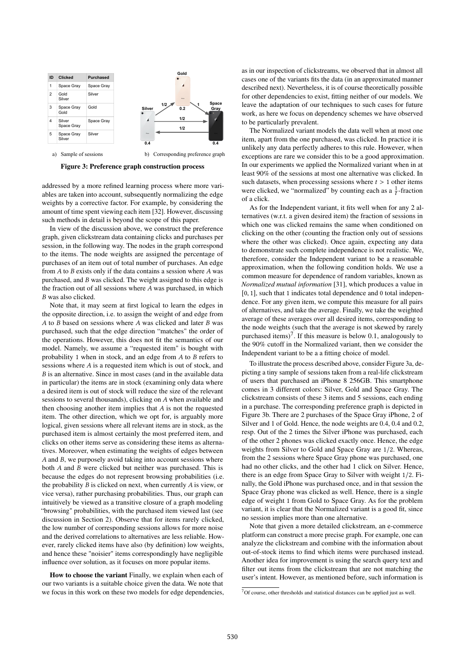



a) Sample of sessions b) Corresponding preference graph

## Figure 3: Preference graph construction process

addressed by a more refined learning process where more variables are taken into account, subsequently normalizing the edge weights by a corrective factor. For example, by considering the amount of time spent viewing each item [32]. However, discussing such methods in detail is beyond the scope of this paper.

In view of the discussion above, we construct the preference graph, given clickstream data containing clicks and purchases per session, in the following way. The nodes in the graph correspond to the items. The node weights are assigned the percentage of purchases of an item out of total number of purchases. An edge from  $A$  to  $B$  exists only if the data contains a session where  $A$  was purchased, and B was clicked. The weight assigned to this edge is the fraction out of all sessions where A was purchased, in which B was also clicked.

Note that, it may seem at first logical to learn the edges in the opposite direction, i.e. to assign the weight of and edge from A to B based on sessions where A was clicked and later B was purchased, such that the edge direction "matches" the order of the operations. However, this does not fit the semantics of our model. Namely, we assume a "requested item" is bought with probability <sup>1</sup> when in stock, and an edge from A to B refers to sessions where A is a requested item which is out of stock, and B is an alternative. Since in most cases (and in the available data in particular) the items are in stock (examining only data where a desired item is out of stock will reduce the size of the relevant sessions to several thousands), clicking on A when available and then choosing another item implies that  $A$  is not the requested item. The other direction, which we opt for, is arguably more logical, given sessions where all relevant items are in stock, as the purchased item is almost certainly the most preferred item, and clicks on other items serve as considering these items as alternatives. Moreover, when estimating the weights of edges between A and B, we purposely avoid taking into account sessions where both A and B were clicked but neither was purchased. This is because the edges do not represent browsing probabilities (i.e. the probability  $B$  is clicked on next, when currently  $A$  is view, or vice versa), rather purchasing probabilities. Thus, our graph can intuitively be viewed as a transitive closure of a graph modeling "browsing" probabilities, with the purchased item viewed last (see discussion in Section 2). Observe that for items rarely clicked, the low number of corresponding sessions allows for more noise and the derived correlations to alternatives are less reliable. However, rarely clicked items have also (by definition) low weights, and hence these "noisier" items correspondingly have negligible influence over solution, as it focuses on more popular items.

How to choose the variant Finally, we explain when each of our two variants is a suitable choice given the data. We note that we focus in this work on these two models for edge dependencies, as in our inspection of clickstreams, we observed that in almost all cases one of the variants fits the data (in an approximated manner described next). Nevertheless, it is of course theoretically possible for other dependencies to exist, fitting neither of our models. We leave the adaptation of our techniques to such cases for future work, as here we focus on dependency schemes we have observed to be particularly prevalent.

The Normalized variant models the data well when at most one item, apart from the one purchased, was clicked. In practice it is unlikely any data perfectly adheres to this rule. However, when exceptions are rare we consider this to be a good approximation. In our experiments we applied the Normalized variant when in at least 90% of the sessions at most one alternative was clicked. In such datasets, when processing sessions where  $t > 1$  other items were clicked, we "normalized" by counting each as a  $\frac{1}{t}$ -fraction of a click.

As for the Independent variant, it fits well when for any 2 alternatives (w.r.t. a given desired item) the fraction of sessions in which one was clicked remains the same when conditioned on clicking on the other (counting the fraction only out of sessions where the other was clicked). Once again, expecting any data to demonstrate such complete independence is not realistic. We, therefore, consider the Independent variant to be a reasonable approximation, when the following condition holds. We use a common measure for dependence of random variables, known as *Normalized mutual information* [31], which produces a value in [0, 1], such that 1 indicates total dependence and 0 total independence. For any given item, we compute this measure for all pairs of alternatives, and take the average. Finally, we take the weighted average of these averages over all desired items, corresponding to the node weights (such that the average is not skewed by rarely purchased items)<sup>7</sup>. If this measure is below 0.1, analogously to the 90% cutoff in the Normalized variant, then we consider the Independent variant to be a a fitting choice of model.

To illustrate the process described above, consider Figure 3a, depicting a tiny sample of sessions taken from a real-life clickstream of users that purchased an iPhone 8 256GB. This smartphone comes in 3 different colors: Silver, Gold and Space Gray. The clickstream consists of these 3 items and 5 sessions, each ending in a purchase. The corresponding preference graph is depicted in Figure 3b. There are 2 purchases of the Space Gray iPhone, 2 of Silver and 1 of Gold. Hence, the node weights are 0.4, 0.4 and 0.2, resp. Out of the 2 times the Silver iPhone was purchased, each of the other 2 phones was clicked exactly once. Hence, the edge weights from Silver to Gold and Space Gray are 1/2. Whereas, from the 2 sessions where Space Gray phone was purchased, one had no other clicks, and the other had 1 click on Silver. Hence, there is an edge from Space Gray to Silver with weight 1/2. Finally, the Gold iPhone was purchased once, and in that session the Space Gray phone was clicked as well. Hence, there is a single edge of weight 1 from Gold to Space Gray. As for the problem variant, it is clear that the Normalized variant is a good fit, since no session implies more than one alternative.

Note that given a more detailed clickstream, an e-commerce platform can construct a more precise graph. For example, one can analyze the clickstream and combine with the information about out-of-stock items to find which items were purchased instead. Another idea for improvement is using the search query text and filter out items from the clickstream that are not matching the user's intent. However, as mentioned before, such information is

 $7$ Of course, other thresholds and statistical distances can be applied just as well.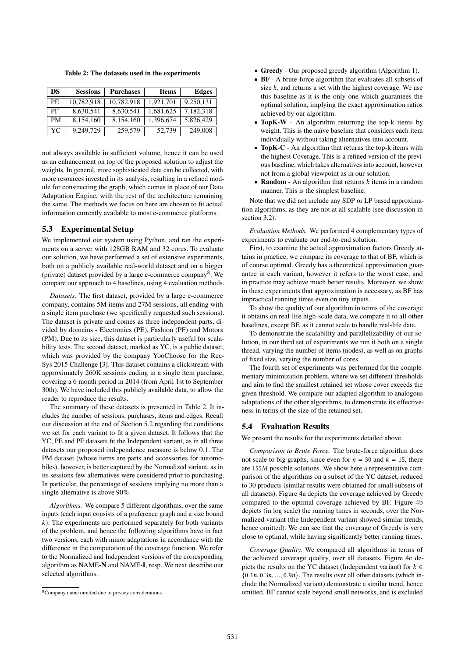Table 2: The datasets used in the experiments

| <b>DS</b> | <b>Sessions</b> | <b>Purchases</b> | <b>Items</b> | Edges     |
|-----------|-----------------|------------------|--------------|-----------|
| PE.       | 10.782.918      | 10.782.918       | 1.921.701    | 9,250,131 |
| РF        | 8,630,541       | 8,630,541        | 1,681,625    | 7,182,318 |
| <b>PM</b> | 8,154,160       | 8,154,160        | 1,396,674    | 5,826,429 |
| YC        | 9.249.729       | 259,579          | 52,739       | 249,008   |

not always available in sufficient volume, hence it can be used as an enhancement on top of the proposed solution to adjust the weights. In general, more sophisticated data can be collected, with more resources invested in its analysis, resulting in a refined module for constructing the graph, which comes in place of our Data Adaptation Engine, with the rest of the architecture remaining the same. The methods we focus on here are chosen to fit actual information currently available to most e-commerce platforms.

## 5.3 Experimental Setup

We implemented our system using Python, and ran the experiments on a server with 128GB RAM and 32 cores. To evaluate our solution, we have performed a set of extensive experiments, both on a publicly available real-world dataset and on a bigger (private) dataset provided by a large e-commerce company<sup>8</sup>. We compare our approach to 4 baselines, using 4 evaluation methods.

*Datasets.* The first dataset, provided by a large e-commerce company, contains 5M items and 27M sessions, all ending with a single item purchase (we specifically requested such sessions). The dataset is private and comes as three independent parts, divided by domains - Electronics (PE), Fashion (PF) and Motors (PM). Due to its size, this dataset is particularly useful for scalability tests. The second dataset, marked as YC, is a public dataset, which was provided by the company YooChoose for the Rec-Sys 2015 Challenge [3]. This dataset contains a clickstream with approximately 260K sessions ending in a single item purchase, covering a 6 month period in 2014 (from April 1st to September 30th). We have included this publicly available data, to allow the reader to reproduce the results.

The summary of these datasets is presented in Table 2. It includes the number of sessions, purchases, items and edges. Recall our discussion at the end of Section 5.2 regarding the conditions we set for each variant to fit a given dataset. It follows that the YC, PE and PF datasets fit the Independent variant, as in all three datasets our proposed independence measure is below 0.1. The PM dataset (whose items are parts and accessories for automobiles), however, is better captured by the Normalized variant, as in its sessions few alternatives were considered prior to purchasing. In particular, the percentage of sessions implying no more than a single alternative is above 90%.

*Algorithms.* We compare 5 different algorithms, over the same inputs (each input consists of a preference graph and a size bound  $k$ ). The experiments are performed separately for both variants of the problem, and hence the following algorithms have in fact two versions, each with minor adaptations in accordance with the difference in the computation of the coverage function. We refer to the Normalized and Independent versions of the corresponding algorithm as NAME-N and NAME-I, resp. We next describe our selected algorithms.

- Greedy Our proposed greedy algorithm (Algorithm 1).
- BF A brute-force algorithm that evaluates all subsets of size  $k$ , and returns a set with the highest coverage. We use this baseline as it is the only one which guarantees the optimal solution, implying the exact approximation ratios achieved by our algorithm.
- TopK-W An algorithm returning the top-k items by weight. This is the naïve baseline that considers each item individually without taking alternatives into account.
- TopK-C An algorithm that returns the top-k items with the highest Coverage. This is a refined version of the previous baseline, which takes alternatives into account, however not from a global viewpoint as in our solution.
- Random An algorithm that returns  $k$  items in a random manner. This is the simplest baseline.

Note that we did not include any SDP or LP based approximation algorithms, as they are not at all scalable (see discussion in section 3.2).

*Evaluation Methods.* We performed 4 complementary types of experiments to evaluate our end-to-end solution.

First, to examine the actual approximation factors Greedy attains in practice, we compare its coverage to that of BF, which is of course optimal. Greedy has a theoretical approximation guarantee in each variant, however it refers to the worst case, and in practice may achieve much better results. Moreover, we show in these experiments that approximation is necessary, as BF has impractical running times even on tiny inputs.

To show the quality of our algorithm in terms of the coverage it obtains on real-life high-scale data, we compare it to all other baselines, except BF, as it cannot scale to handle real-life data.

To demonstrate the scalability and parallelizability of our solution, in our third set of experiments we run it both on a single thread, varying the number of items (nodes), as well as on graphs of fixed size, varying the number of cores.

The fourth set of experiments was performed for the complementary minimization problem, where we set different thresholds and aim to find the smallest retained set whose cover exceeds the given threshold. We compare our adapted algorithm to analogous adaptations of the other algorithms, to demonstrate its effectiveness in terms of the size of the retained set.

## 5.4 Evaluation Results

We present the results for the experiments detailed above.

*Comparison to Brute Force.* The brute-force algorithm does not scale to big graphs, since even for  $n = 30$  and  $k = 15$ , there are <sup>155</sup>M possible solutions. We show here a representative comparison of the algorithms on a subset of the YC dataset, reduced to 30 products (similar results were obtained for small subsets of all datasets). Figure 4a depicts the coverage achieved by Greedy compared to the optimal coverage achieved by BF. Figure 4b depicts (in log scale) the running times in seconds, over the Normalized variant (the Independent variant showed similar trends, hence omitted). We can see that the coverage of Greedy is very close to optimal, while having significantly better running times.

*Coverage Quality.* We compared all algorithms in terms of the achieved coverage quality, over all datasets. Figure 4c depicts the results on the YC dataset (Independent variant) for  $k \in$  $\{0.1n, 0.3n, \ldots, 0.9n\}$ . The results over all other datasets (which include the Normalized variant) demonstrate a similar trend, hence omitted. BF cannot scale beyond small networks, and is excluded

<sup>8</sup>Company name omitted due to privacy considerations.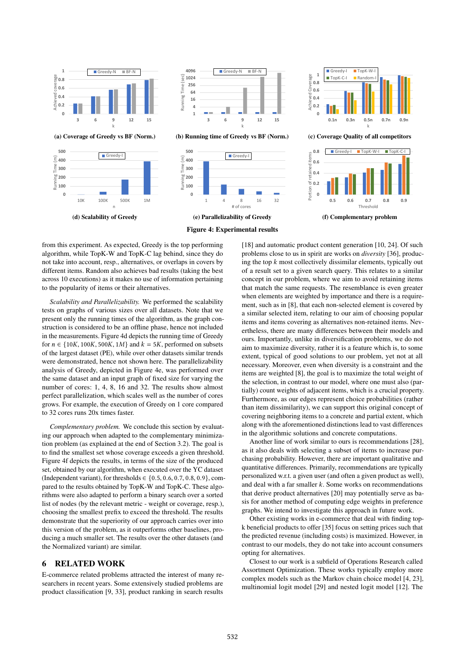

(a) Coverage of Greedy vs BF (Norm.)





(b) Running time of Greedy vs BF (Norm.)





(c) Coverage Quality of all competitors



(f) Complementary problem

#### Figure 4: Experimental results

from this experiment. As expected, Greedy is the top performing algorithm, while TopK-W and TopK-C lag behind, since they do not take into account, resp., alternatives, or overlaps in covers by different items. Random also achieves bad results (taking the best across 10 executions) as it makes no use of information pertaining to the popularity of items or their alternatives.

*Scalability and Parallelizability.* We performed the scalability tests on graphs of various sizes over all datasets. Note that we present only the running times of the algorithm, as the graph construction is considered to be an offline phase, hence not included in the measurements. Figure 4d depicts the running time of Greedy for  $n \in \{10K, 100K, 500K, 1M\}$  and  $k = 5K$ , performed on subsets of the largest dataset (PE), while over other datasets similar trends were demonstrated, hence not shown here. The parallelizability analysis of Greedy, depicted in Figure 4e, was performed over the same dataset and an input graph of fixed size for varying the number of cores: 1, 4, 8, 16 and 32. The results show almost perfect parallelization, which scales well as the number of cores grows. For example, the execution of Greedy on 1 core compared to 32 cores runs 20x times faster.

*Complementary problem.* We conclude this section by evaluating our approach when adapted to the complementary minimization problem (as explained at the end of Section 3.2). The goal is to find the smallest set whose coverage exceeds a given threshold. Figure 4f depicts the results, in terms of the size of the produced set, obtained by our algorithm, when executed over the YC dataset (Independent variant), for thresholds  $\in \{0.5, 0.6, 0.7, 0.8, 0.9\}$ , compared to the results obtained by TopK-W and TopK-C. These algorithms were also adapted to perform a binary search over a sorted list of nodes (by the relevant metric - weight or coverage, resp.), choosing the smallest prefix to exceed the threshold. The results demonstrate that the superiority of our approach carries over into this version of the problem, as it outperforms other baselines, producing a much smaller set. The results over the other datasets (and the Normalized variant) are similar.

## 6 RELATED WORK

E-commerce related problems attracted the interest of many researchers in recent years. Some extensively studied problems are product classification [9, 33], product ranking in search results

[18] and automatic product content generation [10, 24]. Of such problems close to us in spirit are works on *diversity* [36], producing the top  $k$  most collectively dissimilar elements, typically out of a result set to a given search query. This relates to a similar concept in our problem, where we aim to avoid retaining items that match the same requests. The resemblance is even greater when elements are weighted by importance and there is a requirement, such as in [8], that each non-selected element is covered by a similar selected item, relating to our aim of choosing popular items and items covering as alternatives non-retained items. Nevertheless, there are many differences between their models and ours. Importantly, unlike in diversification problems, we do not aim to maximize diversity, rather it is a feature which is, to some extent, typical of good solutions to our problem, yet not at all necessary. Moreover, even when diversity is a constraint and the items are weighted [8], the goal is to maximize the total weight of the selection, in contrast to our model, where one must also (partially) count weights of adjacent items, which is a crucial property. Furthermore, as our edges represent choice probabilities (rather than item dissimilarity), we can support this original concept of covering neighboring items to a concrete and partial extent, which along with the aforementioned distinctions lead to vast differences in the algorithmic solutions and concrete computations.

Another line of work similar to ours is recommendations [28], as it also deals with selecting a subset of items to increase purchasing probability. However, there are important qualitative and quantitative differences. Primarily, recommendations are typically personalized w.r.t. a given user (and often a given product as well), and deal with a far smaller  $k$ . Some works on recommendations that derive product alternatives [20] may potentially serve as basis for another method of computing edge weights in preference graphs. We intend to investigate this approach in future work.

Other existing works in e-commerce that deal with finding topk beneficial products to offer [35] focus on setting prices such that the predicted revenue (including costs) is maximized. However, in contrast to our models, they do not take into account consumers opting for alternatives.

Closest to our work is a subfield of Operations Research called Assortment Optimization. These works typically employ more complex models such as the Markov chain choice model [4, 23], multinomial logit model [29] and nested logit model [12]. The